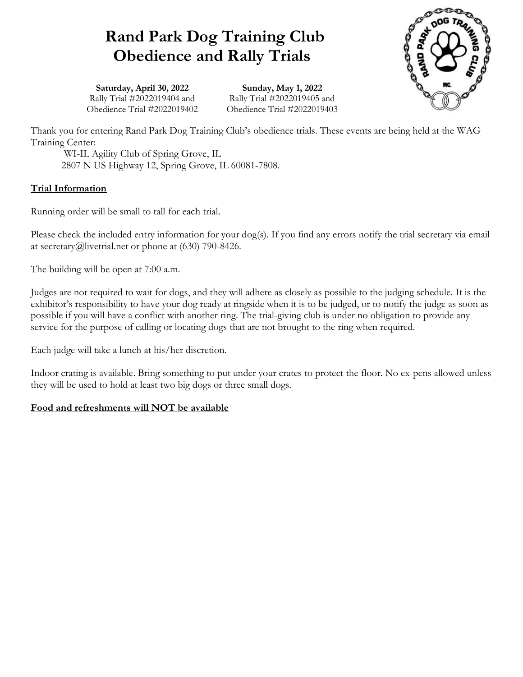# Rand Park Dog Training Club Obedience and Rally Trials



Saturday, April 30, 2022 Rally Trial #2022019404 and Obedience Trial #2022019402

Sunday, May 1, 2022 Rally Trial #2022019405 and Obedience Trial #2022019403

Thank you for entering Rand Park Dog Training Club's obedience trials. These events are being held at the WAG Training Center:

 WI-IL Agility Club of Spring Grove, IL 2807 N US Highway 12, Spring Grove, IL 60081-7808.

## Trial Information

Running order will be small to tall for each trial.

Please check the included entry information for your dog(s). If you find any errors notify the trial secretary via email at secretary@livetrial.net or phone at (630) 790-8426.

The building will be open at 7:00 a.m.

Judges are not required to wait for dogs, and they will adhere as closely as possible to the judging schedule. It is the exhibitor's responsibility to have your dog ready at ringside when it is to be judged, or to notify the judge as soon as possible if you will have a conflict with another ring. The trial-giving club is under no obligation to provide any service for the purpose of calling or locating dogs that are not brought to the ring when required.

Each judge will take a lunch at his/her discretion.

Indoor crating is available. Bring something to put under your crates to protect the floor. No ex-pens allowed unless they will be used to hold at least two big dogs or three small dogs.

## Food and refreshments will NOT be available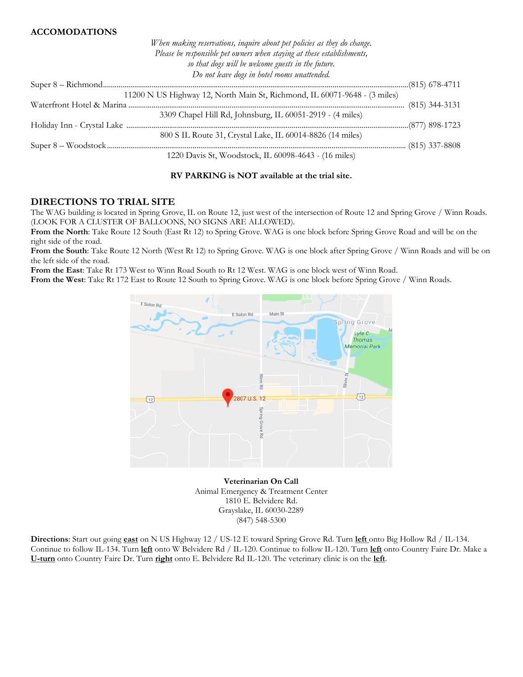### ACCOMODATIONS

When making reservations, inquire about pet policies as they do change. Please be responsible pet owners when staying at these establishments, so that dogs will be welcome guests in the future. Do not leave dogs in hotel rooms unattended. Super 8 – Richmond .............................................................................................................................................................(815) 678-4711 11200 N US Highway 12, North Main St, Richmond, IL 60071-9648 - (3 miles) Waterfront Hotel & Marina .............................................................................................................................................. (815) 344-3131 3309 Chapel Hill Rd, Johnsburg, IL 60051-2919 - (4 miles) Holiday Inn - Crystal Lake .................................................................................................................................................(877) 898-1723 800 S IL Route 31, Crystal Lake, IL 60014-8826 (14 miles) Super 8 – Woodstock ................................................................................... ...................................................................... (815) 337-8808 1220 Davis St, Woodstock, IL 60098-4643 - (16 miles)

#### RV PARKING is NOT available at the trial site.

### DIRECTIONS TO TRIAL SITE

The WAG building is located in Spring Grove, IL on Route 12, just west of the intersection of Route 12 and Spring Grove / Winn Roads. (LOOK FOR A CLUSTER OF BALLOONS, NO SIGNS ARE ALLOWED).

From the North: Take Route 12 South (East Rt 12) to Spring Grove. WAG is one block before Spring Grove Road and will be on the right side of the road.

From the South: Take Route 12 North (West Rt 12) to Spring Grove. WAG is one block after Spring Grove / Winn Roads and will be on the left side of the road.

From the East: Take Rt 173 West to Winn Road South to Rt 12 West. WAG is one block west of Winn Road.

From the West: Take Rt 172 East to Route 12 South to Spring Grove. WAG is one block before Spring Grove / Winn Roads.



Veterinarian On Call Animal Emergency & Treatment Center 1810 E. Belvidere Rd. Grayslake, IL 60030-2289 (847) 548-5300

Directions: Start out going east on N US Highway 12 / US-12 E toward Spring Grove Rd. Turn left onto Big Hollow Rd / IL-134. Continue to follow IL-134. Turn left onto W Belvidere Rd / IL-120. Continue to follow IL-120. Turn left onto Country Faire Dr. Make a U-turn onto Country Faire Dr. Turn right onto E. Belvidere Rd IL-120. The veterinary clinic is on the left.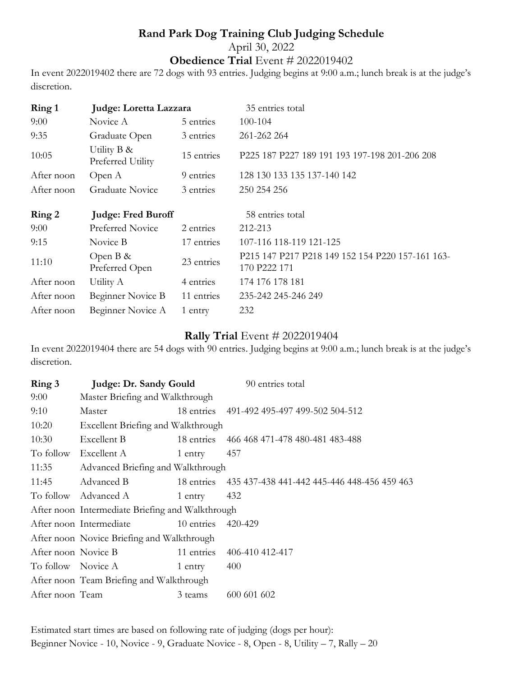# Rand Park Dog Training Club Judging Schedule April 30, 2022 Obedience Trial Event # 2022019402

In event 2022019402 there are 72 dogs with 93 entries. Judging begins at 9:00 a.m.; lunch break is at the judge's discretion.

| Ring 1     | Judge: Loretta Lazzara           |            | 35 entries total                                                 |
|------------|----------------------------------|------------|------------------------------------------------------------------|
| 9:00       | Novice A                         | 5 entries  | 100-104                                                          |
| 9:35       | Graduate Open                    | 3 entries  | 261-262 264                                                      |
| 10:05      | Utility B &<br>Preferred Utility | 15 entries | P225 187 P227 189 191 193 197-198 201-206 208                    |
| After noon | Open A                           | 9 entries  | 128 130 133 135 137-140 142                                      |
| After noon | Graduate Novice                  | 3 entries  | 250 254 256                                                      |
| Ring 2     | <b>Judge: Fred Buroff</b>        |            | 58 entries total                                                 |
| 9:00       | Preferred Novice                 | 2 entries  | 212-213                                                          |
| 9:15       | Novice B                         | 17 entries | 107-116 118-119 121-125                                          |
| 11:10      | Open $B \&$<br>Preferred Open    | 23 entries | P215 147 P217 P218 149 152 154 P220 157-161 163-<br>170 P222 171 |
| After noon | Utility A                        | 4 entries  | 174 176 178 181                                                  |
| After noon | Beginner Novice B                | 11 entries | 235-242 245-246 249                                              |
| After noon | Beginner Novice A                | 1 entry    | 232                                                              |

# Rally Trial Event # 2022019404

In event 2022019404 there are 54 dogs with 90 entries. Judging begins at 9:00 a.m.; lunch break is at the judge's discretion.

| Ring 3              | Judge: Dr. Sandy Gould                           |            | 90 entries total                                       |  |  |
|---------------------|--------------------------------------------------|------------|--------------------------------------------------------|--|--|
| 9:00                | Master Briefing and Walkthrough                  |            |                                                        |  |  |
| 9:10                | Master                                           |            | 18 entries 491-492 495-497 499-502 504-512             |  |  |
| 10:20               | <b>Excellent Briefing and Walkthrough</b>        |            |                                                        |  |  |
| 10:30               | Excellent B                                      |            | 18 entries 466 468 471-478 480-481 483-488             |  |  |
| To follow           | Excellent A                                      | 1 entry    | 457                                                    |  |  |
| 11:35               | Advanced Briefing and Walkthrough                |            |                                                        |  |  |
| 11:45               | Advanced B                                       |            | 18 entries 435 437-438 441-442 445-446 448-456 459 463 |  |  |
|                     | To follow Advanced A                             | 1 entry    | 432                                                    |  |  |
|                     | After noon Intermediate Briefing and Walkthrough |            |                                                        |  |  |
|                     | After noon Intermediate                          | 10 entries | 420-429                                                |  |  |
|                     | After noon Novice Briefing and Walkthrough       |            |                                                        |  |  |
| After noon Novice B |                                                  | 11 entries | 406-410 412-417                                        |  |  |
| To follow Novice A  |                                                  | 1 entry    | 400                                                    |  |  |
|                     | After noon Team Briefing and Walkthrough         |            |                                                        |  |  |
| After noon Team     |                                                  | 3 teams    | 600 601 602                                            |  |  |